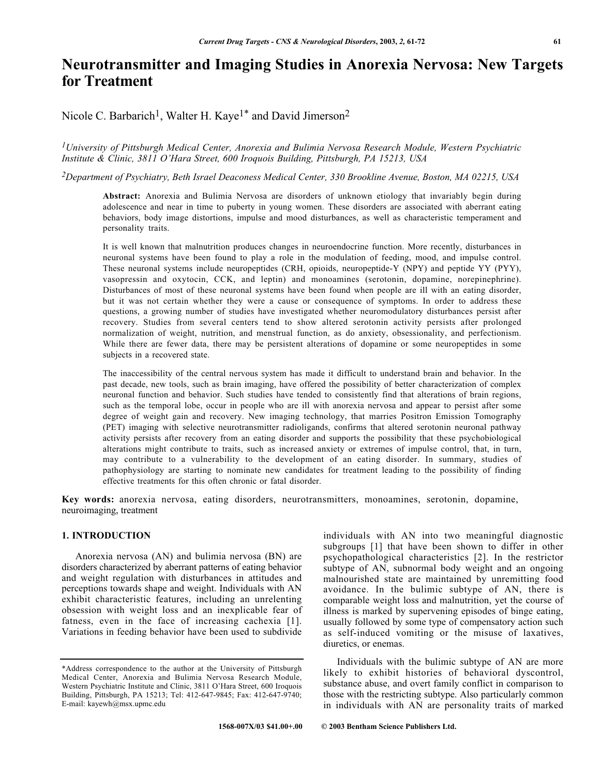# **Neurotransmitter and Imaging Studies in Anorexia Nervosa: New Targets for Treatment**

Nicole C. Barbarich<sup>1</sup>, Walter H. Kaye<sup>1\*</sup> and David Jimerson<sup>2</sup>

*1University of Pittsburgh Medical Center, Anorexia and Bulimia Nervosa Research Module, Western Psychiatric Institute & Clinic, 3811 O'Hara Street, 600 Iroquois Building, Pittsburgh, PA 15213, USA*

*2Department of Psychiatry, Beth Israel Deaconess Medical Center, 330 Brookline Avenue, Boston, MA 02215, USA*

**Abstract:** Anorexia and Bulimia Nervosa are disorders of unknown etiology that invariably begin during adolescence and near in time to puberty in young women. These disorders are associated with aberrant eating behaviors, body image distortions, impulse and mood disturbances, as well as characteristic temperament and personality traits.

It is well known that malnutrition produces changes in neuroendocrine function. More recently, disturbances in neuronal systems have been found to play a role in the modulation of feeding, mood, and impulse control. These neuronal systems include neuropeptides (CRH, opioids, neuropeptide-Y (NPY) and peptide YY (PYY), vasopressin and oxytocin, CCK, and leptin) and monoamines (serotonin, dopamine, norepinephrine). Disturbances of most of these neuronal systems have been found when people are ill with an eating disorder, but it was not certain whether they were a cause or consequence of symptoms. In order to address these questions, a growing number of studies have investigated whether neuromodulatory disturbances persist after recovery. Studies from several centers tend to show altered serotonin activity persists after prolonged normalization of weight, nutrition, and menstrual function, as do anxiety, obsessionality, and perfectionism. While there are fewer data, there may be persistent alterations of dopamine or some neuropeptides in some subjects in a recovered state.

The inaccessibility of the central nervous system has made it difficult to understand brain and behavior. In the past decade, new tools, such as brain imaging, have offered the possibility of better characterization of complex neuronal function and behavior. Such studies have tended to consistently find that alterations of brain regions, such as the temporal lobe, occur in people who are ill with anorexia nervosa and appear to persist after some degree of weight gain and recovery. New imaging technology, that marries Positron Emission Tomography (PET) imaging with selective neurotransmitter radioligands, confirms that altered serotonin neuronal pathway activity persists after recovery from an eating disorder and supports the possibility that these psychobiological alterations might contribute to traits, such as increased anxiety or extremes of impulse control, that, in turn, may contribute to a vulnerability to the development of an eating disorder. In summary, studies of pathophysiology are starting to nominate new candidates for treatment leading to the possibility of finding effective treatments for this often chronic or fatal disorder.

**Key words:** anorexia nervosa, eating disorders, neurotransmitters, monoamines, serotonin, dopamine, neuroimaging, treatment

# **1. INTRODUCTION**

Anorexia nervosa (AN) and bulimia nervosa (BN) are disorders characterized by aberrant patterns of eating behavior and weight regulation with disturbances in attitudes and perceptions towards shape and weight. Individuals with AN exhibit characteristic features, including an unrelenting obsession with weight loss and an inexplicable fear of fatness, even in the face of increasing cachexia [1]. Variations in feeding behavior have been used to subdivide

individuals with AN into two meaningful diagnostic subgroups [1] that have been shown to differ in other psychopathological characteristics [2]. In the restrictor subtype of AN, subnormal body weight and an ongoing malnourished state are maintained by unremitting food avoidance. In the bulimic subtype of AN, there is comparable weight loss and malnutrition, yet the course of illness is marked by supervening episodes of binge eating, usually followed by some type of compensatory action such as self-induced vomiting or the misuse of laxatives, diuretics, or enemas.

Individuals with the bulimic subtype of AN are more likely to exhibit histories of behavioral dyscontrol, substance abuse, and overt family conflict in comparison to those with the restricting subtype. Also particularly common in individuals with AN are personality traits of marked

<sup>\*</sup>Address correspondence to the author at the University of Pittsburgh Medical Center, Anorexia and Bulimia Nervosa Research Module, Western Psychiatric Institute and Clinic, 3811 O'Hara Street, 600 Iroquois Building, Pittsburgh, PA 15213; Tel: 412-647-9845; Fax: 412-647-9740; E-mail: kayewh@msx.upmc.edu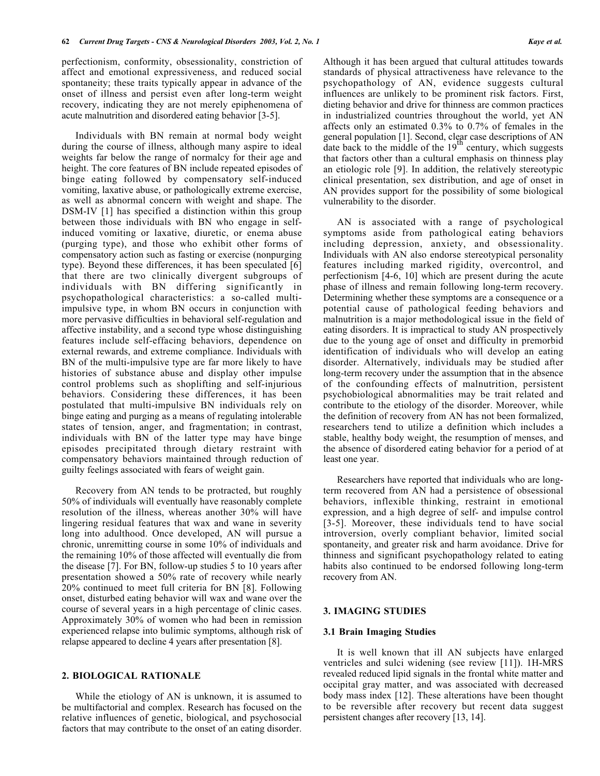perfectionism, conformity, obsessionality, constriction of affect and emotional expressiveness, and reduced social spontaneity; these traits typically appear in advance of the onset of illness and persist even after long-term weight recovery, indicating they are not merely epiphenomena of acute malnutrition and disordered eating behavior [3-5].

Individuals with BN remain at normal body weight during the course of illness, although many aspire to ideal weights far below the range of normalcy for their age and height. The core features of BN include repeated episodes of binge eating followed by compensatory self-induced vomiting, laxative abuse, or pathologically extreme exercise, as well as abnormal concern with weight and shape. The DSM-IV [1] has specified a distinction within this group between those individuals with BN who engage in selfinduced vomiting or laxative, diuretic, or enema abuse (purging type), and those who exhibit other forms of compensatory action such as fasting or exercise (nonpurging type). Beyond these differences, it has been speculated [6] that there are two clinically divergent subgroups of individuals with BN differing significantly in psychopathological characteristics: a so-called multiimpulsive type, in whom BN occurs in conjunction with more pervasive difficulties in behavioral self-regulation and affective instability, and a second type whose distinguishing features include self-effacing behaviors, dependence on external rewards, and extreme compliance. Individuals with BN of the multi-impulsive type are far more likely to have histories of substance abuse and display other impulse control problems such as shoplifting and self-injurious behaviors. Considering these differences, it has been postulated that multi-impulsive BN individuals rely on binge eating and purging as a means of regulating intolerable states of tension, anger, and fragmentation; in contrast, individuals with BN of the latter type may have binge episodes precipitated through dietary restraint with compensatory behaviors maintained through reduction of guilty feelings associated with fears of weight gain.

Recovery from AN tends to be protracted, but roughly 50% of individuals will eventually have reasonably complete resolution of the illness, whereas another 30% will have lingering residual features that wax and wane in severity long into adulthood. Once developed, AN will pursue a chronic, unremitting course in some 10% of individuals and the remaining 10% of those affected will eventually die from the disease [7]. For BN, follow-up studies 5 to 10 years after presentation showed a 50% rate of recovery while nearly 20% continued to meet full criteria for BN [8]. Following onset, disturbed eating behavior will wax and wane over the course of several years in a high percentage of clinic cases. Approximately 30% of women who had been in remission experienced relapse into bulimic symptoms, although risk of relapse appeared to decline 4 years after presentation [8].

#### **2. BIOLOGICAL RATIONALE**

While the etiology of AN is unknown, it is assumed to be multifactorial and complex. Research has focused on the relative influences of genetic, biological, and psychosocial factors that may contribute to the onset of an eating disorder. Although it has been argued that cultural attitudes towards standards of physical attractiveness have relevance to the psychopathology of AN, evidence suggests cultural influences are unlikely to be prominent risk factors. First, dieting behavior and drive for thinness are common practices in industrialized countries throughout the world, yet AN affects only an estimated 0.3% to 0.7% of females in the general population [1]. Second, clear case descriptions of AN date back to the middle of the  $19<sup>th</sup>$  century, which suggests that factors other than a cultural emphasis on thinness play an etiologic role [9]. In addition, the relatively stereotypic clinical presentation, sex distribution, and age of onset in AN provides support for the possibility of some biological vulnerability to the disorder.

AN is associated with a range of psychological symptoms aside from pathological eating behaviors including depression, anxiety, and obsessionality. Individuals with AN also endorse stereotypical personality features including marked rigidity, overcontrol, and perfectionism [4-6, 10] which are present during the acute phase of illness and remain following long-term recovery. Determining whether these symptoms are a consequence or a potential cause of pathological feeding behaviors and malnutrition is a major methodological issue in the field of eating disorders. It is impractical to study AN prospectively due to the young age of onset and difficulty in premorbid identification of individuals who will develop an eating disorder. Alternatively, individuals may be studied after long-term recovery under the assumption that in the absence of the confounding effects of malnutrition, persistent psychobiological abnormalities may be trait related and contribute to the etiology of the disorder. Moreover, while the definition of recovery from AN has not been formalized, researchers tend to utilize a definition which includes a stable, healthy body weight, the resumption of menses, and the absence of disordered eating behavior for a period of at least one year.

Researchers have reported that individuals who are longterm recovered from AN had a persistence of obsessional behaviors, inflexible thinking, restraint in emotional expression, and a high degree of self- and impulse control [3-5]. Moreover, these individuals tend to have social introversion, overly compliant behavior, limited social spontaneity, and greater risk and harm avoidance. Drive for thinness and significant psychopathology related to eating habits also continued to be endorsed following long-term recovery from AN.

# **3. IMAGING STUDIES**

# **3.1 Brain Imaging Studies**

It is well known that ill AN subjects have enlarged ventricles and sulci widening (see review [11]). 1H-MRS revealed reduced lipid signals in the frontal white matter and occipital gray matter, and was associated with decreased body mass index [12]. These alterations have been thought to be reversible after recovery but recent data suggest persistent changes after recovery [13, 14].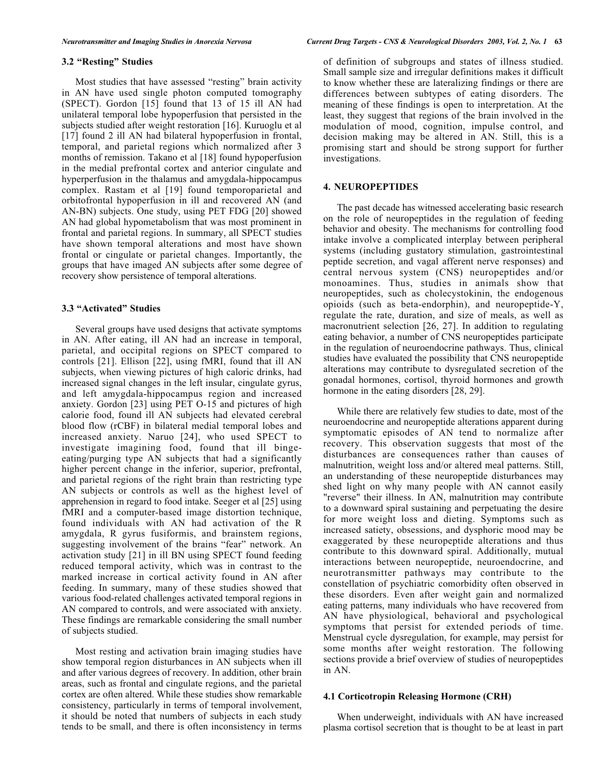# **3.2 "Resting" Studies**

Most studies that have assessed "resting" brain activity in AN have used single photon computed tomography (SPECT). Gordon [15] found that 13 of 15 ill AN had unilateral temporal lobe hypoperfusion that persisted in the subjects studied after weight restoration [16]. Kuruoglu et al [17] found 2 ill AN had bilateral hypoperfusion in frontal, temporal, and parietal regions which normalized after 3 months of remission. Takano et al [18] found hypoperfusion in the medial prefrontal cortex and anterior cingulate and hyperperfusion in the thalamus and amygdala-hippocampus complex. Rastam et al [19] found temporoparietal and orbitofrontal hypoperfusion in ill and recovered AN (and AN-BN) subjects. One study, using PET FDG [20] showed AN had global hypometabolism that was most prominent in frontal and parietal regions. In summary, all SPECT studies have shown temporal alterations and most have shown frontal or cingulate or parietal changes. Importantly, the groups that have imaged AN subjects after some degree of recovery show persistence of temporal alterations.

# **3.3 "Activated" Studies**

Several groups have used designs that activate symptoms in AN. After eating, ill AN had an increase in temporal, parietal, and occipital regions on SPECT compared to controls [21]. Ellison [22], using fMRI, found that ill AN subjects, when viewing pictures of high caloric drinks, had increased signal changes in the left insular, cingulate gyrus, and left amygdala-hippocampus region and increased anxiety. Gordon [23] using PET O-15 and pictures of high calorie food, found ill AN subjects had elevated cerebral blood flow (rCBF) in bilateral medial temporal lobes and increased anxiety. Naruo [24], who used SPECT to investigate imagining food, found that ill bingeeating/purging type AN subjects that had a significantly higher percent change in the inferior, superior, prefrontal, and parietal regions of the right brain than restricting type AN subjects or controls as well as the highest level of apprehension in regard to food intake. Seeger et al [25] using fMRI and a computer-based image distortion technique, found individuals with AN had activation of the R amygdala, R gyrus fusiformis, and brainstem regions, suggesting involvement of the brains "fear" network. An activation study [21] in ill BN using SPECT found feeding reduced temporal activity, which was in contrast to the marked increase in cortical activity found in AN after feeding. In summary, many of these studies showed that various food-related challenges activated temporal regions in AN compared to controls, and were associated with anxiety. These findings are remarkable considering the small number of subjects studied.

Most resting and activation brain imaging studies have show temporal region disturbances in AN subjects when ill and after various degrees of recovery. In addition, other brain areas, such as frontal and cingulate regions, and the parietal cortex are often altered. While these studies show remarkable consistency, particularly in terms of temporal involvement, it should be noted that numbers of subjects in each study tends to be small, and there is often inconsistency in terms of definition of subgroups and states of illness studied. Small sample size and irregular definitions makes it difficult to know whether these are lateralizing findings or there are differences between subtypes of eating disorders. The meaning of these findings is open to interpretation. At the least, they suggest that regions of the brain involved in the modulation of mood, cognition, impulse control, and decision making may be altered in AN. Still, this is a promising start and should be strong support for further investigations.

# **4. NEUROPEPTIDES**

The past decade has witnessed accelerating basic research on the role of neuropeptides in the regulation of feeding behavior and obesity. The mechanisms for controlling food intake involve a complicated interplay between peripheral systems (including gustatory stimulation, gastrointestinal peptide secretion, and vagal afferent nerve responses) and central nervous system (CNS) neuropeptides and/or monoamines. Thus, studies in animals show that neuropeptides, such as cholecystokinin, the endogenous opioids (such as beta-endorphin), and neuropeptide-Y, regulate the rate, duration, and size of meals, as well as macronutrient selection [26, 27]. In addition to regulating eating behavior, a number of CNS neuropeptides participate in the regulation of neuroendocrine pathways. Thus, clinical studies have evaluated the possibility that CNS neuropeptide alterations may contribute to dysregulated secretion of the gonadal hormones, cortisol, thyroid hormones and growth hormone in the eating disorders [28, 29].

While there are relatively few studies to date, most of the neuroendocrine and neuropeptide alterations apparent during symptomatic episodes of AN tend to normalize after recovery. This observation suggests that most of the disturbances are consequences rather than causes of malnutrition, weight loss and/or altered meal patterns. Still, an understanding of these neuropeptide disturbances may shed light on why many people with AN cannot easily "reverse" their illness. In AN, malnutrition may contribute to a downward spiral sustaining and perpetuating the desire for more weight loss and dieting. Symptoms such as increased satiety, obsessions, and dysphoric mood may be exaggerated by these neuropeptide alterations and thus contribute to this downward spiral. Additionally, mutual interactions between neuropeptide, neuroendocrine, and neurotransmitter pathways may contribute to the constellation of psychiatric comorbidity often observed in these disorders. Even after weight gain and normalized eating patterns, many individuals who have recovered from AN have physiological, behavioral and psychological symptoms that persist for extended periods of time. Menstrual cycle dysregulation, for example, may persist for some months after weight restoration. The following sections provide a brief overview of studies of neuropeptides in AN.

# **4.1 Corticotropin Releasing Hormone (CRH)**

When underweight, individuals with AN have increased plasma cortisol secretion that is thought to be at least in part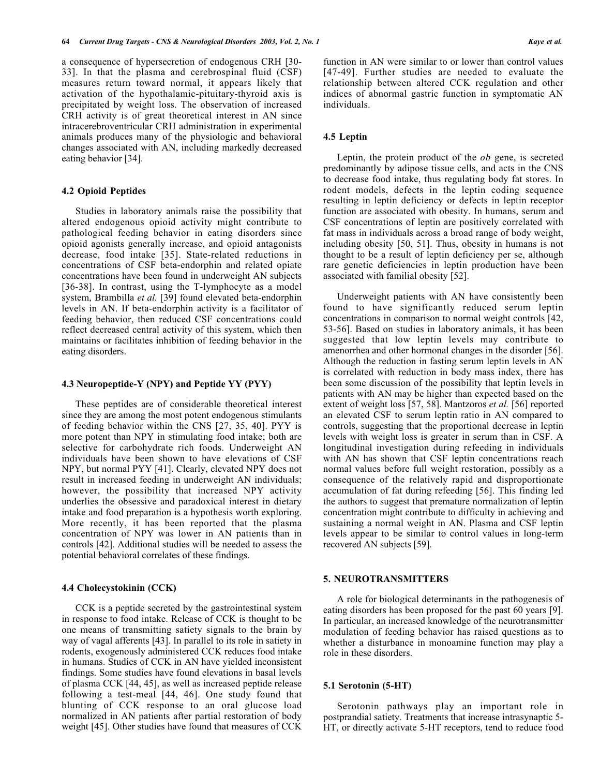a consequence of hypersecretion of endogenous CRH [30- 33]. In that the plasma and cerebrospinal fluid (CSF) measures return toward normal, it appears likely that activation of the hypothalamic-pituitary-thyroid axis is precipitated by weight loss. The observation of increased CRH activity is of great theoretical interest in AN since intracerebroventricular CRH administration in experimental animals produces many of the physiologic and behavioral changes associated with AN, including markedly decreased eating behavior [34].

#### **4.2 Opioid Peptides**

Studies in laboratory animals raise the possibility that altered endogenous opioid activity might contribute to pathological feeding behavior in eating disorders since opioid agonists generally increase, and opioid antagonists decrease, food intake [35]. State-related reductions in concentrations of CSF beta-endorphin and related opiate concentrations have been found in underweight AN subjects [36-38]. In contrast, using the T-lymphocyte as a model system, Brambilla *et al.* [39] found elevated beta-endorphin levels in AN. If beta-endorphin activity is a facilitator of feeding behavior, then reduced CSF concentrations could reflect decreased central activity of this system, which then maintains or facilitates inhibition of feeding behavior in the eating disorders.

#### **4.3 Neuropeptide-Y (NPY) and Peptide YY (PYY)**

These peptides are of considerable theoretical interest since they are among the most potent endogenous stimulants of feeding behavior within the CNS [27, 35, 40]. PYY is more potent than NPY in stimulating food intake; both are selective for carbohydrate rich foods. Underweight AN individuals have been shown to have elevations of CSF NPY, but normal PYY [41]. Clearly, elevated NPY does not result in increased feeding in underweight AN individuals; however, the possibility that increased NPY activity underlies the obsessive and paradoxical interest in dietary intake and food preparation is a hypothesis worth exploring. More recently, it has been reported that the plasma concentration of NPY was lower in AN patients than in controls [42]. Additional studies will be needed to assess the potential behavioral correlates of these findings.

#### **4.4 Cholecystokinin (CCK)**

CCK is a peptide secreted by the gastrointestinal system in response to food intake. Release of CCK is thought to be one means of transmitting satiety signals to the brain by way of vagal afferents [43]. In parallel to its role in satiety in rodents, exogenously administered CCK reduces food intake in humans. Studies of CCK in AN have yielded inconsistent findings. Some studies have found elevations in basal levels of plasma CCK [44, 45], as well as increased peptide release following a test-meal [44, 46]. One study found that blunting of CCK response to an oral glucose load normalized in AN patients after partial restoration of body weight [45]. Other studies have found that measures of CCK function in AN were similar to or lower than control values [47-49]. Further studies are needed to evaluate the relationship between altered CCK regulation and other indices of abnormal gastric function in symptomatic AN individuals.

# **4.5 Leptin**

Leptin, the protein product of the *ob* gene, is secreted predominantly by adipose tissue cells, and acts in the CNS to decrease food intake, thus regulating body fat stores. In rodent models, defects in the leptin coding sequence resulting in leptin deficiency or defects in leptin receptor function are associated with obesity. In humans, serum and CSF concentrations of leptin are positively correlated with fat mass in individuals across a broad range of body weight, including obesity [50, 51]. Thus, obesity in humans is not thought to be a result of leptin deficiency per se, although rare genetic deficiencies in leptin production have been associated with familial obesity [52].

Underweight patients with AN have consistently been found to have significantly reduced serum leptin concentrations in comparison to normal weight controls [42, 53-56]. Based on studies in laboratory animals, it has been suggested that low leptin levels may contribute to amenorrhea and other hormonal changes in the disorder [56]. Although the reduction in fasting serum leptin levels in AN is correlated with reduction in body mass index, there has been some discussion of the possibility that leptin levels in patients with AN may be higher than expected based on the extent of weight loss [57, 58]. Mantzoros *et al.* [56] reported an elevated CSF to serum leptin ratio in AN compared to controls, suggesting that the proportional decrease in leptin levels with weight loss is greater in serum than in CSF. A longitudinal investigation during refeeding in individuals with AN has shown that CSF leptin concentrations reach normal values before full weight restoration, possibly as a consequence of the relatively rapid and disproportionate accumulation of fat during refeeding [56]. This finding led the authors to suggest that premature normalization of leptin concentration might contribute to difficulty in achieving and sustaining a normal weight in AN. Plasma and CSF leptin levels appear to be similar to control values in long-term recovered AN subjects [59].

# **5. NEUROTRANSMITTERS**

A role for biological determinants in the pathogenesis of eating disorders has been proposed for the past 60 years [9]. In particular, an increased knowledge of the neurotransmitter modulation of feeding behavior has raised questions as to whether a disturbance in monoamine function may play a role in these disorders.

#### **5.1 Serotonin (5-HT)**

Serotonin pathways play an important role in postprandial satiety. Treatments that increase intrasynaptic 5- HT, or directly activate 5-HT receptors, tend to reduce food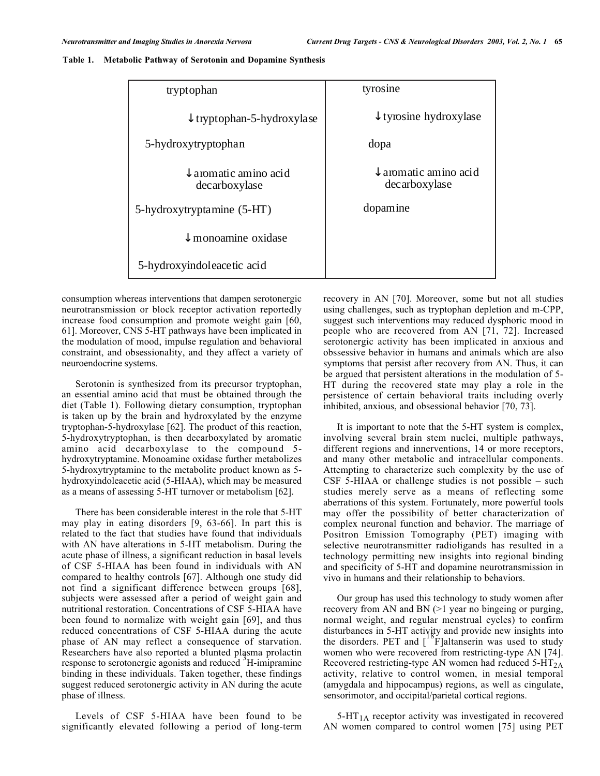

| tryptophan                                       | tyrosine                                          |
|--------------------------------------------------|---------------------------------------------------|
| $\downarrow$ tryptophan-5-hydroxylase            | $\downarrow$ tyrosine hydroxylase                 |
| 5-hydroxytryptophan                              | dopa                                              |
| $\downarrow$ ammatic amino acid<br>decarboxylase | $\downarrow$ aromatic amino acid<br>decarboxylase |
| 5-hydroxytryptamine (5-HT)                       | dopamine                                          |
| $\downarrow$ monoamine oxidase                   |                                                   |
| 5-hydroxyindoleacetic acid                       |                                                   |

consumption whereas interventions that dampen serotonergic neurotransmission or block receptor activation reportedly increase food consumption and promote weight gain [60, 61]. Moreover, CNS 5-HT pathways have been implicated in the modulation of mood, impulse regulation and behavioral constraint, and obsessionality, and they affect a variety of neuroendocrine systems.

Serotonin is synthesized from its precursor tryptophan, an essential amino acid that must be obtained through the diet (Table 1). Following dietary consumption, tryptophan is taken up by the brain and hydroxylated by the enzyme tryptophan-5-hydroxylase [62]. The product of this reaction, 5-hydroxytryptophan, is then decarboxylated by aromatic amino acid decarboxylase to the compound 5 hydroxytryptamine. Monoamine oxidase further metabolizes 5-hydroxytryptamine to the metabolite product known as 5 hydroxyindoleacetic acid (5-HIAA), which may be measured as a means of assessing 5-HT turnover or metabolism [62].

There has been considerable interest in the role that 5-HT may play in eating disorders [9, 63-66]. In part this is related to the fact that studies have found that individuals with AN have alterations in 5-HT metabolism. During the acute phase of illness, a significant reduction in basal levels of CSF 5-HIAA has been found in individuals with AN compared to healthy controls [67]. Although one study did not find a significant difference between groups [68], subjects were assessed after a period of weight gain and nutritional restoration. Concentrations of CSF 5-HIAA have been found to normalize with weight gain [69], and thus reduced concentrations of CSF 5-HIAA during the acute phase of AN may reflect a consequence of starvation. Researchers have also reported a blunted plasma prolactin response to serotonergic agonists and reduced <sup>3</sup>H-imipramine binding in these individuals. Taken together, these findings suggest reduced serotonergic activity in AN during the acute phase of illness.

Levels of CSF 5-HIAA have been found to be significantly elevated following a period of long-term

recovery in AN [70]. Moreover, some but not all studies using challenges, such as tryptophan depletion and m-CPP, suggest such interventions may reduced dysphoric mood in people who are recovered from AN [71, 72]. Increased serotonergic activity has been implicated in anxious and obssessive behavior in humans and animals which are also symptoms that persist after recovery from AN. Thus, it can be argued that persistent alterations in the modulation of 5- HT during the recovered state may play a role in the persistence of certain behavioral traits including overly inhibited, anxious, and obsessional behavior [70, 73].

It is important to note that the 5-HT system is complex, involving several brain stem nuclei, multiple pathways, different regions and innerventions, 14 or more receptors, and many other metabolic and intracellular components. Attempting to characterize such complexity by the use of CSF 5-HIAA or challenge studies is not possible – such studies merely serve as a means of reflecting some aberrations of this system. Fortunately, more powerful tools may offer the possibility of better characterization of complex neuronal function and behavior. The marriage of Positron Emission Tomography (PET) imaging with selective neurotransmitter radioligands has resulted in a technology permitting new insights into regional binding and specificity of 5-HT and dopamine neurotransmission in vivo in humans and their relationship to behaviors.

Our group has used this technology to study women after recovery from AN and BN (>1 year no bingeing or purging, normal weight, and regular menstrual cycles) to confirm disturbances in  $5$ -HT activity and provide new insights into the disorders. PET and  $\int_{0}^{16}$ F]altanserin was used to study women who were recovered from restricting-type AN [74]. Recovered restricting-type AN women had reduced  $5-HT_{2A}$ activity, relative to control women, in mesial temporal (amygdala and hippocampus) regions, as well as cingulate, sensorimotor, and occipital/parietal cortical regions.

 $5-HT<sub>1A</sub>$  receptor activity was investigated in recovered AN women compared to control women [75] using PET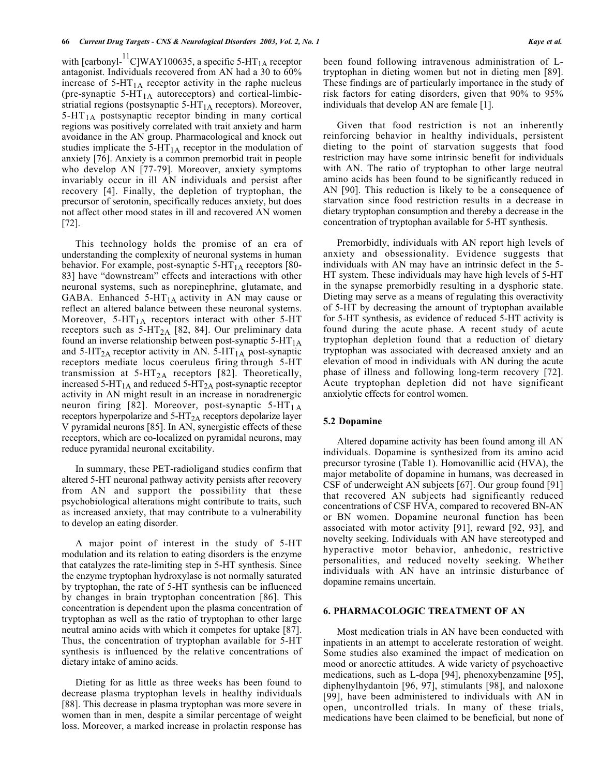with  $\text{[carbony]}$ - $^{11}$ C $\text{[WAY100635]}$ , a specific 5-HT<sub>1A</sub> receptor antagonist. Individuals recovered from AN had a 30 to 60% increase of  $5-HT<sub>1A</sub>$  receptor activity in the raphe nucleus (pre-synaptic  $5-HT<sub>1A</sub>$  autoreceptors) and cortical-limbicstriatial regions (postsynaptic  $5-\text{HT}_{1\text{A}}$  receptors). Moreover,  $5-HT<sub>1A</sub>$  postsynaptic receptor binding in many cortical regions was positively correlated with trait anxiety and harm avoidance in the AN group. Pharmacological and knock out studies implicate the  $5-HT<sub>1A</sub>$  receptor in the modulation of anxiety [76]. Anxiety is a common premorbid trait in people who develop AN [77-79]. Moreover, anxiety symptoms invariably occur in ill AN individuals and persist after recovery [4]. Finally, the depletion of tryptophan, the precursor of serotonin, specifically reduces anxiety, but does not affect other mood states in ill and recovered AN women [72].

This technology holds the promise of an era of understanding the complexity of neuronal systems in human behavior. For example, post-synaptic  $5-HT_{1A}$  receptors [80-83] have "downstream" effects and interactions with other neuronal systems, such as norepinephrine, glutamate, and GABA. Enhanced  $5-HT<sub>1A</sub>$  activity in AN may cause or reflect an altered balance between these neuronal systems. Moreover,  $5-HT_{1A}$  receptors interact with other 5-HT receptors such as  $5-HT_{2A}$  [82, 84]. Our preliminary data found an inverse relationship between post-synaptic  $5-HT<sub>1A</sub>$ and  $5-HT_{2A}$  receptor activity in AN.  $5-HT_{1A}$  post-synaptic receptors mediate locus coeruleus firing through 5-HT transmission at  $5-\text{HT}_{2A}$  receptors [82]. Theoretically, increased  $5-HT<sub>1A</sub>$  and reduced  $5-HT<sub>2A</sub>$  post-synaptic receptor activity in AN might result in an increase in noradrenergic neuron firing [82]. Moreover, post-synaptic  $5-HT<sub>1A</sub>$ receptors hyperpolarize and  $5-\text{HT}_{2A}$  receptors depolarize layer V pyramidal neurons [85]. In AN, synergistic effects of these receptors, which are co-localized on pyramidal neurons, may reduce pyramidal neuronal excitability.

In summary, these PET-radioligand studies confirm that altered 5-HT neuronal pathway activity persists after recovery from AN and support the possibility that these psychobiological alterations might contribute to traits, such as increased anxiety, that may contribute to a vulnerability to develop an eating disorder.

A major point of interest in the study of 5-HT modulation and its relation to eating disorders is the enzyme that catalyzes the rate-limiting step in 5-HT synthesis. Since the enzyme tryptophan hydroxylase is not normally saturated by tryptophan, the rate of 5-HT synthesis can be influenced by changes in brain tryptophan concentration [86]. This concentration is dependent upon the plasma concentration of tryptophan as well as the ratio of tryptophan to other large neutral amino acids with which it competes for uptake [87]. Thus, the concentration of tryptophan available for 5-HT synthesis is influenced by the relative concentrations of dietary intake of amino acids.

Dieting for as little as three weeks has been found to decrease plasma tryptophan levels in healthy individuals [88]. This decrease in plasma tryptophan was more severe in women than in men, despite a similar percentage of weight loss. Moreover, a marked increase in prolactin response has

been found following intravenous administration of Ltryptophan in dieting women but not in dieting men [89]. These findings are of particularly importance in the study of risk factors for eating disorders, given that 90% to 95% individuals that develop AN are female [1].

Given that food restriction is not an inherently reinforcing behavior in healthy individuals, persistent dieting to the point of starvation suggests that food restriction may have some intrinsic benefit for individuals with AN. The ratio of tryptophan to other large neutral amino acids has been found to be significantly reduced in AN [90]. This reduction is likely to be a consequence of starvation since food restriction results in a decrease in dietary tryptophan consumption and thereby a decrease in the concentration of tryptophan available for 5-HT synthesis.

Premorbidly, individuals with AN report high levels of anxiety and obsessionality. Evidence suggests that individuals with AN may have an intrinsic defect in the 5- HT system. These individuals may have high levels of 5-HT in the synapse premorbidly resulting in a dysphoric state. Dieting may serve as a means of regulating this overactivity of 5-HT by decreasing the amount of tryptophan available for 5-HT synthesis, as evidence of reduced 5-HT activity is found during the acute phase. A recent study of acute tryptophan depletion found that a reduction of dietary tryptophan was associated with decreased anxiety and an elevation of mood in individuals with AN during the acute phase of illness and following long-term recovery [72]. Acute tryptophan depletion did not have significant anxiolytic effects for control women.

#### **5.2 Dopamine**

Altered dopamine activity has been found among ill AN individuals. Dopamine is synthesized from its amino acid precursor tyrosine (Table 1). Homovanillic acid (HVA), the major metabolite of dopamine in humans, was decreased in CSF of underweight AN subjects [67]. Our group found [91] that recovered AN subjects had significantly reduced concentrations of CSF HVA, compared to recovered BN-AN or BN women. Dopamine neuronal function has been associated with motor activity [91], reward [92, 93], and novelty seeking. Individuals with AN have stereotyped and hyperactive motor behavior, anhedonic, restrictive personalities, and reduced novelty seeking. Whether individuals with AN have an intrinsic disturbance of dopamine remains uncertain.

#### **6. PHARMACOLOGIC TREATMENT OF AN**

Most medication trials in AN have been conducted with inpatients in an attempt to accelerate restoration of weight. Some studies also examined the impact of medication on mood or anorectic attitudes. A wide variety of psychoactive medications, such as L-dopa [94], phenoxybenzamine [95], diphenylhydantoin [96, 97], stimulants [98], and naloxone [99], have been administered to individuals with AN in open, uncontrolled trials. In many of these trials, medications have been claimed to be beneficial, but none of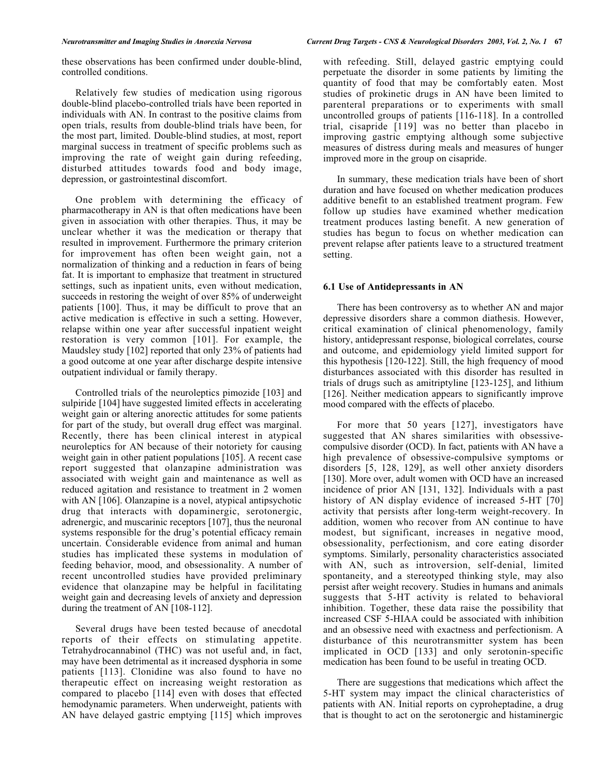these observations has been confirmed under double-blind, controlled conditions.

Relatively few studies of medication using rigorous double-blind placebo-controlled trials have been reported in individuals with AN. In contrast to the positive claims from open trials, results from double-blind trials have been, for the most part, limited. Double-blind studies, at most, report marginal success in treatment of specific problems such as improving the rate of weight gain during refeeding, disturbed attitudes towards food and body image, depression, or gastrointestinal discomfort.

One problem with determining the efficacy of pharmacotherapy in AN is that often medications have been given in association with other therapies. Thus, it may be unclear whether it was the medication or therapy that resulted in improvement. Furthermore the primary criterion for improvement has often been weight gain, not a normalization of thinking and a reduction in fears of being fat. It is important to emphasize that treatment in structured settings, such as inpatient units, even without medication, succeeds in restoring the weight of over 85% of underweight patients [100]. Thus, it may be difficult to prove that an active medication is effective in such a setting. However, relapse within one year after successful inpatient weight restoration is very common [101]. For example, the Maudsley study [102] reported that only 23% of patients had a good outcome at one year after discharge despite intensive outpatient individual or family therapy.

Controlled trials of the neuroleptics pimozide [103] and sulpiride [104] have suggested limited effects in accelerating weight gain or altering anorectic attitudes for some patients for part of the study, but overall drug effect was marginal. Recently, there has been clinical interest in atypical neuroleptics for AN because of their notoriety for causing weight gain in other patient populations [105]. A recent case report suggested that olanzapine administration was associated with weight gain and maintenance as well as reduced agitation and resistance to treatment in 2 women with AN [106]. Olanzapine is a novel, atypical antipsychotic drug that interacts with dopaminergic, serotonergic, adrenergic, and muscarinic receptors [107], thus the neuronal systems responsible for the drug's potential efficacy remain uncertain. Considerable evidence from animal and human studies has implicated these systems in modulation of feeding behavior, mood, and obsessionality. A number of recent uncontrolled studies have provided preliminary evidence that olanzapine may be helpful in facilitating weight gain and decreasing levels of anxiety and depression during the treatment of AN [108-112].

Several drugs have been tested because of anecdotal reports of their effects on stimulating appetite. Tetrahydrocannabinol (THC) was not useful and, in fact, may have been detrimental as it increased dysphoria in some patients [113]. Clonidine was also found to have no therapeutic effect on increasing weight restoration as compared to placebo [114] even with doses that effected hemodynamic parameters. When underweight, patients with AN have delayed gastric emptying [115] which improves

with refeeding. Still, delayed gastric emptying could perpetuate the disorder in some patients by limiting the quantity of food that may be comfortably eaten. Most studies of prokinetic drugs in AN have been limited to parenteral preparations or to experiments with small uncontrolled groups of patients [116-118]. In a controlled trial, cisapride [119] was no better than placebo in improving gastric emptying although some subjective measures of distress during meals and measures of hunger improved more in the group on cisapride.

In summary, these medication trials have been of short duration and have focused on whether medication produces additive benefit to an established treatment program. Few follow up studies have examined whether medication treatment produces lasting benefit. A new generation of studies has begun to focus on whether medication can prevent relapse after patients leave to a structured treatment setting.

# **6.1 Use of Antidepressants in AN**

There has been controversy as to whether AN and major depressive disorders share a common diathesis. However, critical examination of clinical phenomenology, family history, antidepressant response, biological correlates, course and outcome, and epidemiology yield limited support for this hypothesis [120-122]. Still, the high frequency of mood disturbances associated with this disorder has resulted in trials of drugs such as amitriptyline [123-125], and lithium [126]. Neither medication appears to significantly improve mood compared with the effects of placebo.

For more that 50 years [127], investigators have suggested that AN shares similarities with obsessivecompulsive disorder (OCD). In fact, patients with AN have a high prevalence of obsessive-compulsive symptoms or disorders [5, 128, 129], as well other anxiety disorders [130]. More over, adult women with OCD have an increased incidence of prior AN [131, 132]. Individuals with a past history of AN display evidence of increased 5-HT [70] activity that persists after long-term weight-recovery. In addition, women who recover from AN continue to have modest, but significant, increases in negative mood, obsessionality, perfectionism, and core eating disorder symptoms. Similarly, personality characteristics associated with AN, such as introversion, self-denial, limited spontaneity, and a stereotyped thinking style, may also persist after weight recovery. Studies in humans and animals suggests that 5-HT activity is related to behavioral inhibition. Together, these data raise the possibility that increased CSF 5-HIAA could be associated with inhibition and an obsessive need with exactness and perfectionism. A disturbance of this neurotransmitter system has been implicated in OCD [133] and only serotonin-specific medication has been found to be useful in treating OCD.

There are suggestions that medications which affect the 5-HT system may impact the clinical characteristics of patients with AN. Initial reports on cyproheptadine, a drug that is thought to act on the serotonergic and histaminergic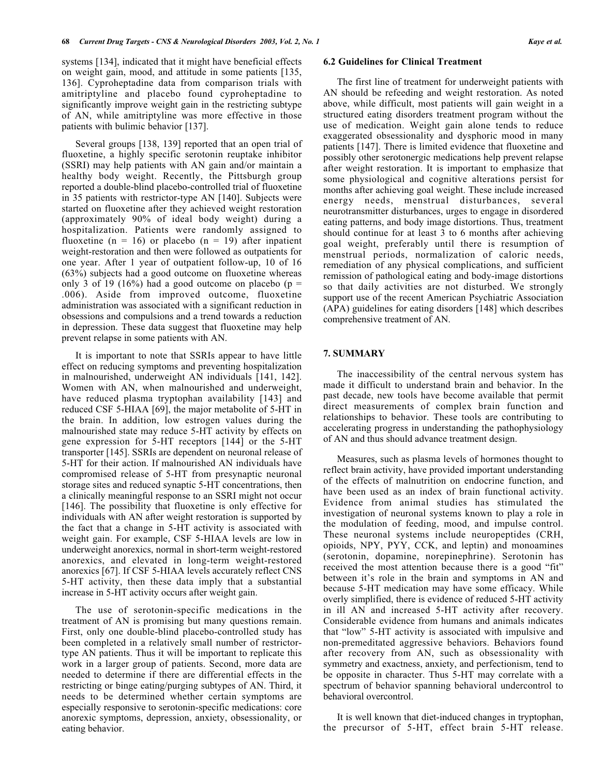systems [134], indicated that it might have beneficial effects on weight gain, mood, and attitude in some patients [135, 136]. Cyproheptadine data from comparison trials with amitriptyline and placebo found cyproheptadine to significantly improve weight gain in the restricting subtype of AN, while amitriptyline was more effective in those patients with bulimic behavior [137].

Several groups [138, 139] reported that an open trial of fluoxetine, a highly specific serotonin reuptake inhibitor (SSRI) may help patients with AN gain and/or maintain a healthy body weight. Recently, the Pittsburgh group reported a double-blind placebo-controlled trial of fluoxetine in 35 patients with restrictor-type AN [140]. Subjects were started on fluoxetine after they achieved weight restoration (approximately 90% of ideal body weight) during a hospitalization. Patients were randomly assigned to fluoxetine (n = 16) or placebo (n = 19) after inpatient weight-restoration and then were followed as outpatients for one year. After 1 year of outpatient follow-up, 10 of 16 (63%) subjects had a good outcome on fluoxetine whereas only 3 of 19 (16%) had a good outcome on placebo ( $p =$ .006). Aside from improved outcome, fluoxetine administration was associated with a significant reduction in obsessions and compulsions and a trend towards a reduction in depression. These data suggest that fluoxetine may help prevent relapse in some patients with AN.

It is important to note that SSRIs appear to have little effect on reducing symptoms and preventing hospitalization in malnourished, underweight AN individuals [141, 142]. Women with AN, when malnourished and underweight, have reduced plasma tryptophan availability [143] and reduced CSF 5-HIAA [69], the major metabolite of 5-HT in the brain. In addition, low estrogen values during the malnourished state may reduce 5-HT activity by effects on gene expression for 5-HT receptors [144] or the 5-HT transporter [145]. SSRIs are dependent on neuronal release of 5-HT for their action. If malnourished AN individuals have compromised release of 5-HT from presynaptic neuronal storage sites and reduced synaptic 5-HT concentrations, then a clinically meaningful response to an SSRI might not occur [146]. The possibility that fluoxetine is only effective for individuals with AN after weight restoration is supported by the fact that a change in 5-HT activity is associated with weight gain. For example, CSF 5-HIAA levels are low in underweight anorexics, normal in short-term weight-restored anorexics, and elevated in long-term weight-restored anorexics [67]. If CSF 5-HIAA levels accurately reflect CNS 5-HT activity, then these data imply that a substantial increase in 5-HT activity occurs after weight gain.

The use of serotonin-specific medications in the treatment of AN is promising but many questions remain. First, only one double-blind placebo-controlled study has been completed in a relatively small number of restrictortype AN patients. Thus it will be important to replicate this work in a larger group of patients. Second, more data are needed to determine if there are differential effects in the restricting or binge eating/purging subtypes of AN. Third, it needs to be determined whether certain symptoms are especially responsive to serotonin-specific medications: core anorexic symptoms, depression, anxiety, obsessionality, or eating behavior.

#### **6.2 Guidelines for Clinical Treatment**

The first line of treatment for underweight patients with AN should be refeeding and weight restoration. As noted above, while difficult, most patients will gain weight in a structured eating disorders treatment program without the use of medication. Weight gain alone tends to reduce exaggerated obsessionality and dysphoric mood in many patients [147]. There is limited evidence that fluoxetine and possibly other serotonergic medications help prevent relapse after weight restoration. It is important to emphasize that some physiological and cognitive alterations persist for months after achieving goal weight. These include increased energy needs, menstrual disturbances, several neurotransmitter disturbances, urges to engage in disordered eating patterns, and body image distortions. Thus, treatment should continue for at least 3 to 6 months after achieving goal weight, preferably until there is resumption of menstrual periods, normalization of caloric needs, remediation of any physical complications, and sufficient remission of pathological eating and body-image distortions so that daily activities are not disturbed. We strongly support use of the recent American Psychiatric Association (APA) guidelines for eating disorders [148] which describes comprehensive treatment of AN.

#### **7. SUMMARY**

The inaccessibility of the central nervous system has made it difficult to understand brain and behavior. In the past decade, new tools have become available that permit direct measurements of complex brain function and relationships to behavior. These tools are contributing to accelerating progress in understanding the pathophysiology of AN and thus should advance treatment design.

Measures, such as plasma levels of hormones thought to reflect brain activity, have provided important understanding of the effects of malnutrition on endocrine function, and have been used as an index of brain functional activity. Evidence from animal studies has stimulated the investigation of neuronal systems known to play a role in the modulation of feeding, mood, and impulse control. These neuronal systems include neuropeptides (CRH, opioids, NPY, PYY, CCK, and leptin) and monoamines (serotonin, dopamine, norepinephrine). Serotonin has received the most attention because there is a good "fit" between it's role in the brain and symptoms in AN and because 5-HT medication may have some efficacy. While overly simplified, there is evidence of reduced 5-HT activity in ill AN and increased 5-HT activity after recovery. Considerable evidence from humans and animals indicates that "low" 5-HT activity is associated with impulsive and non-premeditated aggressive behaviors. Behaviors found after recovery from AN, such as obsessionality with symmetry and exactness, anxiety, and perfectionism, tend to be opposite in character. Thus 5-HT may correlate with a spectrum of behavior spanning behavioral undercontrol to behavioral overcontrol.

It is well known that diet-induced changes in tryptophan, the precursor of 5-HT, effect brain 5-HT release.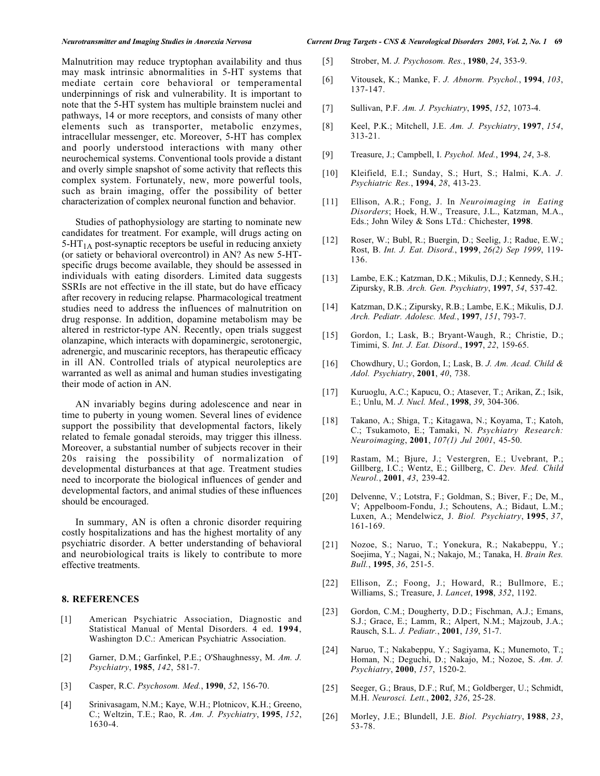Malnutrition may reduce tryptophan availability and thus may mask intrinsic abnormalities in 5-HT systems that mediate certain core behavioral or temperamental underpinnings of risk and vulnerability. It is important to note that the 5-HT system has multiple brainstem nuclei and pathways, 14 or more receptors, and consists of many other elements such as transporter, metabolic enzymes, intracellular messenger, etc. Moreover, 5-HT has complex and poorly understood interactions with many other neurochemical systems. Conventional tools provide a distant and overly simple snapshot of some activity that reflects this complex system. Fortunately, new, more powerful tools, such as brain imaging, offer the possibility of better characterization of complex neuronal function and behavior.

Studies of pathophysiology are starting to nominate new candidates for treatment. For example, will drugs acting on  $5-\text{HT}_{1\text{A}}$  post-synaptic receptors be useful in reducing anxiety (or satiety or behavioral overcontrol) in AN? As new 5-HTspecific drugs become available, they should be assessed in individuals with eating disorders. Limited data suggests SSRIs are not effective in the ill state, but do have efficacy after recovery in reducing relapse. Pharmacological treatment studies need to address the influences of malnutrition on drug response. In addition, dopamine metabolism may be altered in restrictor-type AN. Recently, open trials suggest olanzapine, which interacts with dopaminergic, serotonergic, adrenergic, and muscarinic receptors, has therapeutic efficacy in ill AN. Controlled trials of atypical neuroleptics are warranted as well as animal and human studies investigating their mode of action in AN.

AN invariably begins during adolescence and near in time to puberty in young women. Several lines of evidence support the possibility that developmental factors, likely related to female gonadal steroids, may trigger this illness. Moreover, a substantial number of subjects recover in their 20s raising the possibility of normalization of developmental disturbances at that age. Treatment studies need to incorporate the biological influences of gender and developmental factors, and animal studies of these influences should be encouraged.

In summary, AN is often a chronic disorder requiring costly hospitalizations and has the highest mortality of any psychiatric disorder. A better understanding of behavioral and neurobiological traits is likely to contribute to more effective treatments.

# **8. REFERENCES**

- [1] American Psychiatric Association, Diagnostic and Statistical Manual of Mental Disorders. 4 ed. **1994**, Washington D.C.: American Psychiatric Association.
- [2] Garner, D.M.; Garfinkel, P.E.; O'Shaughnessy, M. *Am. J. Psychiatry*, **1985**, *142*, 581-7.
- [3] Casper, R.C. *Psychosom. Med.*, **1990**, *52*, 156-70.
- [4] Srinivasagam, N.M.; Kaye, W.H.; Plotnicov, K.H.; Greeno, C.; Weltzin, T.E.; Rao, R. *Am. J. Psychiatry*, **1995**, *152*, 1630-4.
- [5] Strober, M. *J. Psychosom. Res.*, **1980**, *24*, 353-9.
- [6] Vitousek, K.; Manke, F. *J. Abnorm. Psychol.*, **1994**, *103*, 137-147.
- [7] Sullivan, P.F. *Am. J. Psychiatry*, **1995**, *152*, 1073-4.
- [8] Keel, P.K.; Mitchell, J.E. *Am. J. Psychiatry*, **1997**, *154*, 313-21.
- [9] Treasure, J.; Campbell, I. *Psychol. Med.*, **1994**, *24*, 3-8.
- [10] Kleifield, E.I.; Sunday, S.; Hurt, S.; Halmi, K.A. *J . Psychiatric Res.*, **1994**, *28*, 413-23.
- [11] Ellison, A.R.; Fong, J. In *Neuroimaging in Eating Disorders*; Hoek, H.W., Treasure, J.L., Katzman, M.A., Eds.; John Wiley & Sons LTd.: Chichester, **1998**.
- [12] Roser, W.; Bubl, R.; Buergin, D.; Seelig, J.; Radue, E.W.; Rost, B. *Int. J. Eat. Disord.*, **1999**, *26(2) Sep 1999*, 119- 136.
- [13] Lambe, E.K.; Katzman, D.K.; Mikulis, D.J.; Kennedy, S.H.; Zipursky, R.B. *Arch. Gen. Psychiatry*, **1997**, *54*, 537-42.
- [14] Katzman, D.K.; Zipursky, R.B.; Lambe, E.K.; Mikulis, D.J. *Arch. Pediatr. Adolesc. Med.*, **1997**, *151*, 793-7.
- [15] Gordon, I.; Lask, B.; Bryant-Waugh, R.; Christie, D.; Timimi, S. *Int. J. Eat. Disord*., **1997**, *22*, 159-65.
- [16] Chowdhury, U.; Gordon, I.; Lask, B. *J. Am. Acad. Child & Adol. Psychiatry*, **2001**, *40*, 738.
- [17] Kuruoglu, A.C.; Kapucu, O.; Atasever, T.; Arikan, Z.; Isik, E.; Unlu, M. *J. Nucl. Med.*, **1998**, *39*, 304-306.
- [18] Takano, A.; Shiga, T.; Kitagawa, N.; Koyama, T.; Katoh, C.; Tsukamoto, E.; Tamaki, N. *Psychiatry Research: Neuroimaging*, **2001**, *107(1) Jul 2001*, 45-50.
- [19] Rastam, M.; Bjure, J.; Vestergren, E.; Uvebrant, P.; Gillberg, I.C.; Wentz, E.; Gillberg, C. *Dev. Med. Child Neurol.*, **2001**, *43*, 239-42.
- [20] Delvenne, V.; Lotstra, F.; Goldman, S.; Biver, F.; De, M., V; Appelboom-Fondu, J.; Schoutens, A.; Bidaut, L.M.; Luxen, A.; Mendelwicz, J. *Biol. Psychiatry*, **1995**, *37*, 161-169.
- [21] Nozoe, S.; Naruo, T.; Yonekura, R.; Nakabeppu, Y.; Soejima, Y.; Nagai, N.; Nakajo, M.; Tanaka, H. *Brain Res. Bull.*, **1995**, *36*, 251-5.
- [22] Ellison, Z.; Foong, J.; Howard, R.; Bullmore, E.; Williams, S.; Treasure, J. *Lancet*, **1998**, *352*, 1192.
- [23] Gordon, C.M.; Dougherty, D.D.; Fischman, A.J.; Emans, S.J.; Grace, E.; Lamm, R.; Alpert, N.M.; Majzoub, J.A.; Rausch, S.L. *J. Pediatr.*, **2001**, *139*, 51-7.
- [24] Naruo, T.; Nakabeppu, Y.; Sagiyama, K.; Munemoto, T.; Homan, N.; Deguchi, D.; Nakajo, M.; Nozoe, S. *Am. J. Psychiatry*, **2000**, *157*, 1520-2.
- [25] Seeger, G.; Braus, D.F.; Ruf, M.; Goldberger, U.; Schmidt, M.H. *Neurosci. Lett.*, **2002**, *326*, 25-28.
- [26] Morley, J.E.; Blundell, J.E. *Biol. Psychiatry*, **1988**, *23*, 53-78.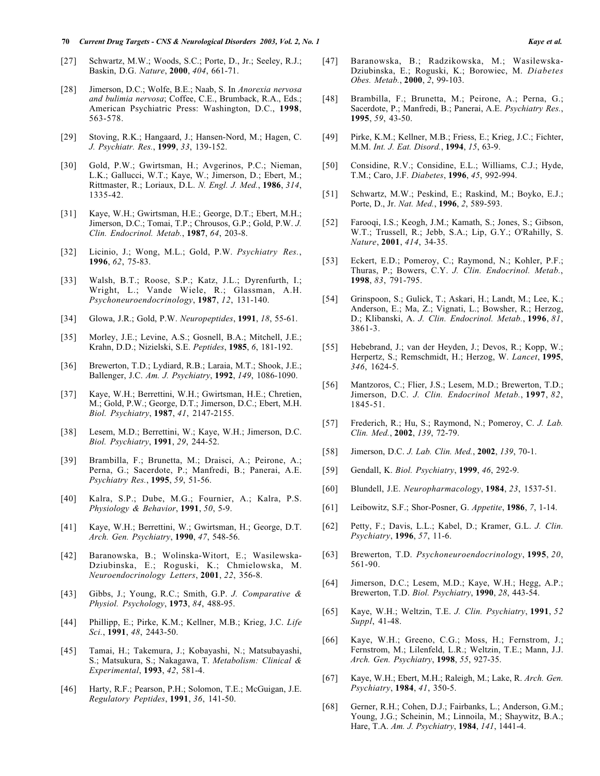- [27] Schwartz, M.W.; Woods, S.C.; Porte, D., Jr.; Seeley, R.J.; Baskin, D.G. *Nature*, **2000**, *404*, 661-71.
- [28] Jimerson, D.C.; Wolfe, B.E.; Naab, S. In *Anorexia nervosa and bulimia nervosa*; Coffee, C.E., Brumback, R.A., Eds.; American Psychiatric Press: Washington, D.C., **1998**, 563-578.
- [29] Stoving, R.K.; Hangaard, J.; Hansen-Nord, M.; Hagen, C. *J. Psychiatr. Res.*, **1999**, *33*, 139-152.
- [30] Gold, P.W.; Gwirtsman, H.; Avgerinos, P.C.; Nieman, L.K.; Gallucci, W.T.; Kaye, W.; Jimerson, D.; Ebert, M.; Rittmaster, R.; Loriaux, D.L. *N. Engl. J. Med.*, **1986**, *314*, 1335-42.
- [31] Kaye, W.H.; Gwirtsman, H.E.; George, D.T.; Ebert, M.H.; Jimerson, D.C.; Tomai, T.P.; Chrousos, G.P.; Gold, P.W. *J. Clin. Endocrinol. Metab.*, **1987**, *64*, 203-8.
- [32] Licinio, J.; Wong, M.L.; Gold, P.W. *Psychiatry Res.*, **1996**, *62*, 75-83.
- [33] Walsh, B.T.; Roose, S.P.; Katz, J.L.; Dyrenfurth, I.; Wright, L.; Vande Wiele, R.; Glassman, A.H. *Psychoneuroendocrinology*, **1987**, *12*, 131-140.
- [34] Glowa, J.R.; Gold, P.W. *Neuropeptides*, **1991**, *18*, 55-61.
- [35] Morley, J.E.; Levine, A.S.; Gosnell, B.A.; Mitchell, J.E.; Krahn, D.D.; Nizielski, S.E. *Peptides*, **1985**, *6*, 181-192.
- [36] Brewerton, T.D.; Lydiard, R.B.; Laraia, M.T.; Shook, J.E.; Ballenger, J.C. *Am. J. Psychiatry*, **1992**, *149*, 1086-1090.
- [37] Kaye, W.H.; Berrettini, W.H.; Gwirtsman, H.E.; Chretien, M.; Gold, P.W.; George, D.T.; Jimerson, D.C.; Ebert, M.H. *Biol. Psychiatry*, **1987**, *41*, 2147-2155.
- [38] Lesem, M.D.; Berrettini, W.; Kaye, W.H.; Jimerson, D.C. *Biol. Psychiatry*, **1991**, *29*, 244-52.
- [39] Brambilla, F.; Brunetta, M.; Draisci, A.; Peirone, A.; Perna, G.; Sacerdote, P.; Manfredi, B.; Panerai, A.E. *Psychiatry Res.*, **1995**, *59*, 51-56.
- [40] Kalra, S.P.; Dube, M.G.; Fournier, A.; Kalra, P.S. *Physiology & Behavior*, **1991**, *50*, 5-9.
- [41] Kaye, W.H.; Berrettini, W.; Gwirtsman, H.; George, D.T. *Arch. Gen. Psychiatry*, **1990**, *47*, 548-56.
- [42] Baranowska, B.; Wolinska-Witort, E.; Wasilewska-Dziubinska, E.; Roguski, K.; Chmielowska, M. *Neuroendocrinology Letters*, **2001**, *22*, 356-8.
- [43] Gibbs, J.; Young, R.C.; Smith, G.P. *J. Comparative & Physiol. Psychology*, **1973**, *84*, 488-95.
- [44] Phillipp, E.; Pirke, K.M.; Kellner, M.B.; Krieg, J.C. *Life Sci.*, **1991**, *48*, 2443-50.
- [45] Tamai, H.; Takemura, J.; Kobayashi, N.; Matsubayashi, S.; Matsukura, S.; Nakagawa, T. *Metabolism: Clinical & Experimental*, **1993**, *42*, 581-4.
- [46] Harty, R.F.; Pearson, P.H.; Solomon, T.E.; McGuigan, J.E. *Regulatory Peptides*, **1991**, *36*, 141-50.
- [47] Baranowska, B.; Radzikowska, M.; Wasilewska-Dziubinska, E.; Roguski, K.; Borowiec, M. *Diabetes Obes. Metab.*, **2000**, *2*, 99-103.
- [48] Brambilla, F.; Brunetta, M.; Peirone, A.; Perna, G.; Sacerdote, P.; Manfredi, B.; Panerai, A.E. *Psychiatry Res.*, **1995**, *59*, 43-50.
- [49] Pirke, K.M.; Kellner, M.B.; Friess, E.; Krieg, J.C.; Fichter, M.M. *Int. J. Eat. Disord.*, **1994**, *15*, 63-9.
- [50] Considine, R.V.; Considine, E.L.; Williams, C.J.; Hyde, T.M.; Caro, J.F. *Diabetes*, **1996**, *45*, 992-994.
- [51] Schwartz, M.W.; Peskind, E.; Raskind, M.; Boyko, E.J.; Porte, D., Jr. *Nat. Med.*, **1996**, *2*, 589-593.
- [52] Farooqi, I.S.; Keogh, J.M.; Kamath, S.; Jones, S.; Gibson, W.T.; Trussell, R.; Jebb, S.A.; Lip, G.Y.; O'Rahilly, S. *Nature*, **2001**, *414*, 34-35.
- [53] Eckert, E.D.; Pomeroy, C.; Raymond, N.; Kohler, P.F.; Thuras, P.; Bowers, C.Y. *J. Clin. Endocrinol. Metab.*, **1998**, *83*, 791-795.
- [54] Grinspoon, S.; Gulick, T.; Askari, H.; Landt, M.; Lee, K.; Anderson, E.; Ma, Z.; Vignati, L.; Bowsher, R.; Herzog, D.; Klibanski, A. *J. Clin. Endocrinol. Metab.*, **1996**, *81*, 3861-3.
- [55] Hebebrand, J.; van der Heyden, J.; Devos, R.; Kopp, W.; Herpertz, S.; Remschmidt, H.; Herzog, W. *Lancet*, **1995**, *346*, 1624-5.
- [56] Mantzoros, C.; Flier, J.S.; Lesem, M.D.; Brewerton, T.D.; Jimerson, D.C. *J. Clin. Endocrinol Metab.*, **1997**, *82*, 1845-51.
- [57] Frederich, R.; Hu, S.; Raymond, N.; Pomeroy, C. *J. Lab. Clin. Med.*, **2002**, *139*, 72-79.
- [58] Jimerson, D.C. *J. Lab. Clin. Med.*, **2002**, *139*, 70-1.
- [59] Gendall, K. *Biol. Psychiatry*, **1999**, *46*, 292-9.
- [60] Blundell, J.E. *Neuropharmacology*, **1984**, *23*, 1537-51.
- [61] Leibowitz, S.F.; Shor-Posner, G. *Appetite*, **1986**, *7*, 1-14.
- [62] Petty, F.; Davis, L.L.; Kabel, D.; Kramer, G.L. *J. Clin. Psychiatry*, **1996**, *57*, 11-6.
- [63] Brewerton, T.D. *Psychoneuroendocrinology*, **1995**, *20*, 561-90.
- [64] Jimerson, D.C.; Lesem, M.D.; Kaye, W.H.; Hegg, A.P.; Brewerton, T.D. *Biol. Psychiatry*, **1990**, *28*, 443-54.
- [65] Kaye, W.H.; Weltzin, T.E. *J. Clin. Psychiatry*, **1991**, *52 Suppl*, 41-48.
- [66] Kaye, W.H.; Greeno, C.G.; Moss, H.; Fernstrom, J.; Fernstrom, M.; Lilenfeld, L.R.; Weltzin, T.E.; Mann, J.J. *Arch. Gen. Psychiatry*, **1998**, *55*, 927-35.
- [67] Kaye, W.H.; Ebert, M.H.; Raleigh, M.; Lake, R. *Arch. Gen. Psychiatry*, **1984**, *41*, 350-5.
- [68] Gerner, R.H.; Cohen, D.J.; Fairbanks, L.; Anderson, G.M.; Young, J.G.; Scheinin, M.; Linnoila, M.; Shaywitz, B.A.; Hare, T.A. *Am. J. Psychiatry*, **1984**, *141*, 1441-4.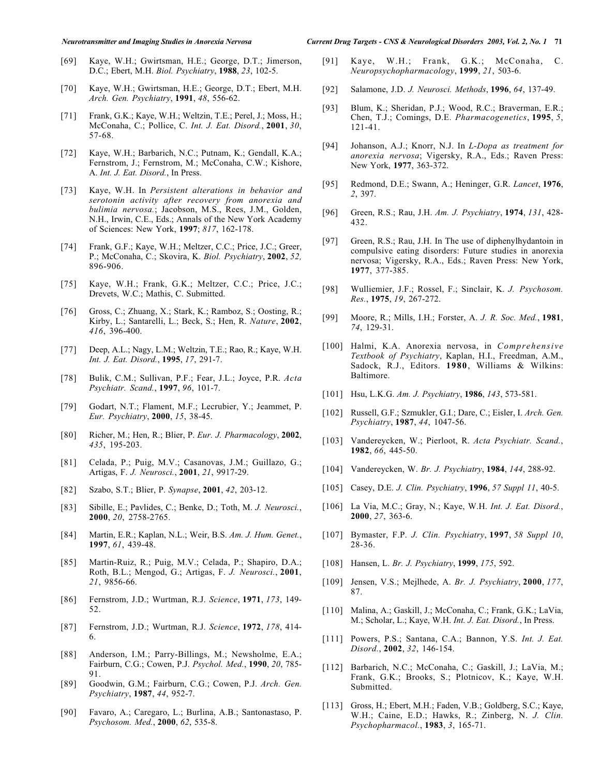- [69] Kaye, W.H.; Gwirtsman, H.E.; George, D.T.; Jimerson, D.C.; Ebert, M.H. *Biol. Psychiatry*, **1988**, *23*, 102-5.
- [70] Kaye, W.H.; Gwirtsman, H.E.; George, D.T.; Ebert, M.H. *Arch. Gen. Psychiatry*, **1991**, *48*, 556-62.
- [71] Frank, G.K.; Kaye, W.H.; Weltzin, T.E.; Perel, J.; Moss, H.; McConaha, C.; Pollice, C. *Int. J. Eat. Disord.*, **2001**, *30*, 57-68.
- [72] Kaye, W.H.; Barbarich, N.C.; Putnam, K.; Gendall, K.A.; Fernstrom, J.; Fernstrom, M.; McConaha, C.W.; Kishore, A. *Int. J. Eat. Disord.*, In Press.
- [73] Kaye, W.H. In *Persistent alterations in behavior and serotonin activity after recovery from anorexia and bulimia nervosa.*; Jacobson, M.S., Rees, J.M., Golden, N.H., Irwin, C.E., Eds.; Annals of the New York Academy of Sciences: New York, **1997**; *817*, 162-178.
- [74] Frank, G.F.; Kaye, W.H.; Meltzer, C.C.; Price, J.C.; Greer, P.; McConaha, C.; Skovira, K. *Biol. Psychiatry*, **2002**, *52,* 896-906.
- [75] Kaye, W.H.; Frank, G.K.; Meltzer, C.C.; Price, J.C.; Drevets, W.C.; Mathis, C. Submitted.
- [76] Gross, C.; Zhuang, X.; Stark, K.; Ramboz, S.; Oosting, R.; Kirby, L.; Santarelli, L.; Beck, S.; Hen, R. *Nature*, **2002**, *416*, 396-400.
- [77] Deep, A.L.; Nagy, L.M.; Weltzin, T.E.; Rao, R.; Kaye, W.H. *Int. J. Eat. Disord.*, **1995**, *17*, 291-7.
- [78] Bulik, C.M.; Sullivan, P.F.; Fear, J.L.; Joyce, P.R. *Acta Psychiatr. Scand.*, **1997**, *96*, 101-7.
- [79] Godart, N.T.; Flament, M.F.; Lecrubier, Y.; Jeammet, P. *Eur. Psychiatry*, **2000**, *15*, 38-45.
- [80] Richer, M.; Hen, R.; Blier, P. *Eur. J. Pharmacology*, **2002**, *435*, 195-203.
- [81] Celada, P.; Puig, M.V.; Casanovas, J.M.; Guillazo, G.; Artigas, F. *J. Neurosci.*, **2001**, *21*, 9917-29.
- [82] Szabo, S.T.; Blier, P. *Synapse*, **2001**, *42*, 203-12.
- [83] Sibille, E.; Pavlides, C.; Benke, D.; Toth, M. *J. Neurosci.*, **2000**, *20*, 2758-2765.
- [84] Martin, E.R.; Kaplan, N.L.; Weir, B.S. *Am. J. Hum. Genet.*, **1997**, *61*, 439-48.
- [85] Martin-Ruiz, R.; Puig, M.V.; Celada, P.; Shapiro, D.A.; Roth, B.L.; Mengod, G.; Artigas, F. *J. Neurosci.*, **2001**, *21*, 9856-66.
- [86] Fernstrom, J.D.; Wurtman, R.J. *Science*, **1971**, *173*, 149- 52.
- [87] Fernstrom, J.D.; Wurtman, R.J. *Science*, **1972**, *178*, 414- 6.
- [88] Anderson, I.M.; Parry-Billings, M.; Newsholme, E.A.; Fairburn, C.G.; Cowen, P.J. *Psychol. Med.*, **1990**, *20*, 785- 91.
- [89] Goodwin, G.M.; Fairburn, C.G.; Cowen, P.J. *Arch. Gen. Psychiatry*, **1987**, *44*, 952-7.
- [90] Favaro, A.; Caregaro, L.; Burlina, A.B.; Santonastaso, P. *Psychosom. Med.*, **2000**, *62*, 535-8.
- [91] Kaye, W.H.; Frank, G.K.; McConaha, C. *Neuropsychopharmacology*, **1999**, *21*, 503-6.
- [92] Salamone, J.D. *J. Neurosci. Methods*, **1996**, *64*, 137-49.
- [93] Blum, K.; Sheridan, P.J.; Wood, R.C.; Braverman, E.R.; Chen, T.J.; Comings, D.E. *Pharmacogenetics*, **1995**, *5*, 121-41.
- [94] Johanson, A.J.; Knorr, N.J. In *L-Dopa as treatment for anorexia nervosa*; Vigersky, R.A., Eds.; Raven Press: New York, **1977**, 363-372.
- [95] Redmond, D.E.; Swann, A.; Heninger, G.R. *Lancet*, **1976**, *2*, 397.
- [96] Green, R.S.; Rau, J.H. *Am. J. Psychiatry*, **1974**, *131*, 428- 432.
- [97] Green, R.S.; Rau, J.H. In The use of diphenylhydantoin in compulsive eating disorders: Future studies in anorexia nervosa; Vigersky, R.A., Eds.; Raven Press: New York, **1977**, 377-385.
- [98] Wulliemier, J.F.; Rossel, F.; Sinclair, K. *J. Psychosom. Res.*, **1975**, *19*, 267-272.
- [99] Moore, R.; Mills, I.H.; Forster, A. *J. R. Soc. Med.*, **1981**, *74*, 129-31.
- [100] Halmi, K.A. Anorexia nervosa, in *Comprehensive Textbook of Psychiatry*, Kaplan, H.I., Freedman, A.M., Sadock, R.J., Editors. **1980**, Williams & Wilkins: Baltimore.
- [101] Hsu, L.K.G. *Am. J. Psychiatry*, **1986**, *143*, 573-581.
- [102] Russell, G.F.; Szmukler, G.I.; Dare, C.; Eisler, I. *Arch. Gen. Psychiatry*, **1987**, *44*, 1047-56.
- [103] Vandereycken, W.; Pierloot, R. *Acta Psychiatr. Scand.*, **1982**, *66*, 445-50.
- [104] Vandereycken, W. *Br. J. Psychiatry*, **1984**, *144*, 288-92.
- [105] Casey, D.E. *J. Clin. Psychiatry*, **1996**, *57 Suppl 11*, 40-5.
- [106] La Via, M.C.; Gray, N.; Kaye, W.H. *Int. J. Eat. Disord.*, **2000**, *27*, 363-6.
- [107] Bymaster, F.P. *J. Clin. Psychiatry*, **1997**, *58 Suppl 10*, 28-36.
- [108] Hansen, L. *Br. J. Psychiatry*, **1999**, *175*, 592.
- [109] Jensen, V.S.; Mejlhede, A. *Br. J. Psychiatry*, **2000**, *177*, 87.
- [110] Malina, A.; Gaskill, J.; McConaha, C.; Frank, G.K.; LaVia, M.; Scholar, L.; Kaye, W.H. *Int. J. Eat. Disord.*, In Press.
- [111] Powers, P.S.; Santana, C.A.; Bannon, Y.S. *Int. J. Eat. Disord.*, **2002**, *32*, 146-154.
- [112] Barbarich, N.C.; McConaha, C.; Gaskill, J.; LaVia, M.; Frank, G.K.; Brooks, S.; Plotnicov, K.; Kaye, W.H. Submitted.
- [113] Gross, H.; Ebert, M.H.; Faden, V.B.; Goldberg, S.C.; Kaye, W.H.; Caine, E.D.; Hawks, R.; Zinberg, N. *J. Clin. Psychopharmacol.*, **1983**, *3*, 165-71.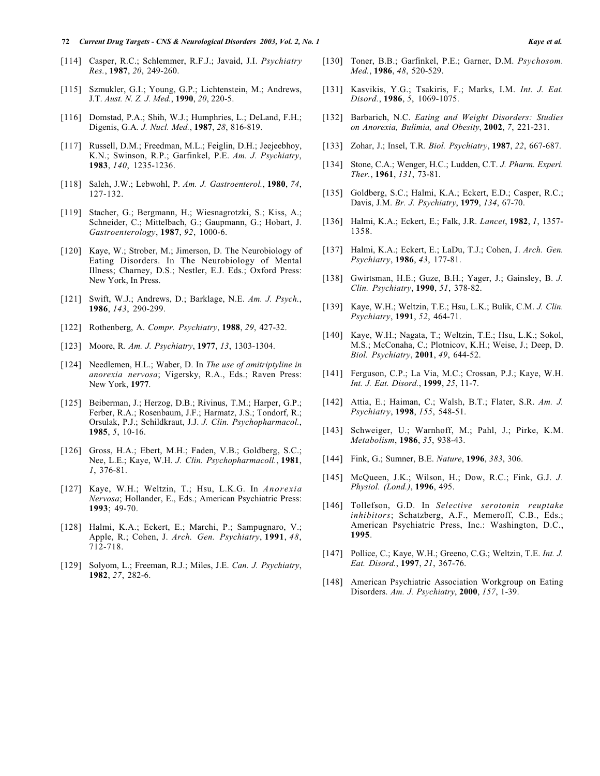- [114] Casper, R.C.; Schlemmer, R.F.J.; Javaid, J.I. *Psychiatry Res.*, **1987**, *20*, 249-260.
- [115] Szmukler, G.I.; Young, G.P.; Lichtenstein, M.; Andrews, J.T. *Aust. N. Z. J. Med.*, **1990**, *20*, 220-5.
- [116] Domstad, P.A.; Shih, W.J.; Humphries, L.; DeLand, F.H.; Digenis, G.A. *J. Nucl. Med.*, **1987**, *28*, 816-819.
- [117] Russell, D.M.; Freedman, M.L.; Feiglin, D.H.; Jeejeebhoy, K.N.; Swinson, R.P.; Garfinkel, P.E. *Am. J. Psychiatry*, **1983**, *140*, 1235-1236.
- [118] Saleh, J.W.; Lebwohl, P. *Am. J. Gastroenterol.*, **1980**, *74*, 127-132.
- [119] Stacher, G.; Bergmann, H.; Wiesnagrotzki, S.; Kiss, A.; Schneider, C.; Mittelbach, G.; Gaupmann, G.; Hobart, J. *Gastroenterology*, **1987**, *92*, 1000-6.
- [120] Kaye, W.; Strober, M.; Jimerson, D. The Neurobiology of Eating Disorders. In The Neurobiology of Mental Illness; Charney, D.S.; Nestler, E.J. Eds.; Oxford Press: New York, In Press.
- [121] Swift, W.J.; Andrews, D.; Barklage, N.E. *Am. J. Psych.*, **1986**, *143*, 290-299.
- [122] Rothenberg, A. *Compr. Psychiatry*, **1988**, *29*, 427-32.
- [123] Moore, R. *Am. J. Psychiatry*, **1977**, *13*, 1303-1304.
- [124] Needlemen, H.L.; Waber, D. In *The use of amitriptyline in anorexia nervosa*; Vigersky, R.A., Eds.; Raven Press: New York, **1977**.
- [125] Beiberman, J.; Herzog, D.B.; Rivinus, T.M.; Harper, G.P.; Ferber, R.A.; Rosenbaum, J.F.; Harmatz, J.S.; Tondorf, R.; Orsulak, P.J.; Schildkraut, J.J. *J. Clin. Psychopharmacol.*, **1985**, *5*, 10-16.
- [126] Gross, H.A.; Ebert, M.H.; Faden, V.B.; Goldberg, S.C.; Nee, L.E.; Kaye, W.H. *J. Clin. Psychopharmacoll.*, **1981**, *1*, 376-81.
- [127] Kaye, W.H.; Weltzin, T.; Hsu, L.K.G. In *Anorexia Nervosa*; Hollander, E., Eds.; American Psychiatric Press: **1993**; 49-70.
- [128] Halmi, K.A.; Eckert, E.; Marchi, P.; Sampugnaro, V.; Apple, R.; Cohen, J. *Arch. Gen. Psychiatry*, **1991**, *48*, 712-718.
- [129] Solyom, L.; Freeman, R.J.; Miles, J.E. *Can. J. Psychiatry*, **1982**, *27*, 282-6.
- [130] Toner, B.B.; Garfinkel, P.E.; Garner, D.M. *Psychosom. Med.*, **1986**, *48*, 520-529.
- [131] Kasvikis, Y.G.; Tsakiris, F.; Marks, I.M. *Int. J. Eat. Disord.*, **1986**, *5*, 1069-1075.
- [132] Barbarich, N.C. *Eating and Weight Disorders: Studies on Anorexia, Bulimia, and Obesity*, **2002**, *7*, 221-231.
- [133] Zohar, J.; Insel, T.R. *Biol. Psychiatry*, **1987**, *22*, 667-687.
- [134] Stone, C.A.; Wenger, H.C.; Ludden, C.T. *J. Pharm. Experi. Ther.*, **1961**, *131*, 73-81.
- [135] Goldberg, S.C.; Halmi, K.A.; Eckert, E.D.; Casper, R.C.; Davis, J.M. *Br. J. Psychiatry*, **1979**, *134*, 67-70.
- [136] Halmi, K.A.; Eckert, E.; Falk, J.R. *Lancet*, **1982**, *1*, 1357- 1358.
- [137] Halmi, K.A.; Eckert, E.; LaDu, T.J.; Cohen, J. *Arch. Gen. Psychiatry*, **1986**, *43*, 177-81.
- [138] Gwirtsman, H.E.; Guze, B.H.; Yager, J.; Gainsley, B. *J. Clin. Psychiatry*, **1990**, *51*, 378-82.
- [139] Kaye, W.H.; Weltzin, T.E.; Hsu, L.K.; Bulik, C.M. *J. Clin. Psychiatry*, **1991**, *52*, 464-71.
- [140] Kaye, W.H.; Nagata, T.; Weltzin, T.E.; Hsu, L.K.; Sokol, M.S.; McConaha, C.; Plotnicov, K.H.; Weise, J.; Deep, D. *Biol. Psychiatry*, **2001**, *49*, 644-52.
- [141] Ferguson, C.P.; La Via, M.C.; Crossan, P.J.; Kaye, W.H. *Int. J. Eat. Disord.*, **1999**, *25*, 11-7.
- [142] Attia, E.; Haiman, C.; Walsh, B.T.; Flater, S.R. *Am. J. Psychiatry*, **1998**, *155*, 548-51.
- [143] Schweiger, U.; Warnhoff, M.; Pahl, J.; Pirke, K.M. *Metabolism*, **1986**, *35*, 938-43.
- [144] Fink, G.; Sumner, B.E. *Nature*, **1996**, *383*, 306.
- [145] McQueen, J.K.; Wilson, H.; Dow, R.C.; Fink, G.J. *J. Physiol. (Lond.)*, **1996**, 495.
- [146] Tollefson, G.D. In *Selective serotonin reuptake inhibitors*; Schatzberg, A.F., Memeroff, C.B., Eds.; American Psychiatric Press, Inc.: Washington, D.C., **1995**.
- [147] Pollice, C.; Kaye, W.H.; Greeno, C.G.; Weltzin, T.E. *Int. J. Eat. Disord.*, **1997**, *21*, 367-76.
- [148] American Psychiatric Association Workgroup on Eating Disorders. *Am. J. Psychiatry*, **2000**, *157*, 1-39.